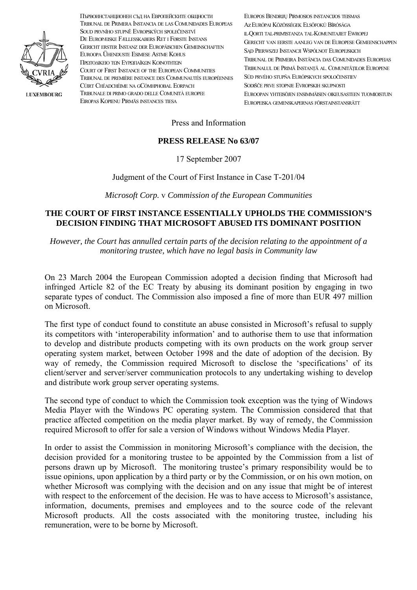

**LUXEMBOURG** 

Първоинстанционен съд на Европейските общности TRIBUNAL DE PRIMERA INSTANCIA DE LAS COMUNIDADES EUROPEAS SOUD PRVNÍHO STUPNĚ EVROPSKÝCH SPOLEČENSTVÍ DE EUROPÆISKE FÆLLESSKABERS RET I FØRSTE INSTANS GERICHT ERSTER INSTANZ DER EUROPÄISCHEN GEMEINSCHAFTEN EUROOPA ÜHENDUSTE ESIMESE ASTME KOHUS ΠΡΩΤΟΔΙΚΕΙΟ ΤΩΝ ΕΥΡΩΠΑΪΚΩΝ ΚΟΙΝΟΤΗΤΩΝ COURT OF FIRST INSTANCE OF THE EUROPEAN COMMUNITIES TRIBUNAL DE PREMIÈRE INSTANCE DES COMMUNAUTÉS EUROPÉENNES CÚIRT CHÉADCHÉIME NA GCÓMHPHOBAL EORPACH TRIBUNALE DI PRIMO GRADO DELLE COMUNITÀ EUROPEE EIROPAS KOPIENU PIRMĀS INSTANCES TIESA

EUROPOS BENDRIJŲ PIRMOSIOS INSTANCIJOS TEISMAS Az Elrópai Közösségek Elsőfokú Bírósága IL-QORTI TAL-PRIMISTANZA TAL-KOMUNITAJIET EWROPEJ GERECHT VAN EERSTE AANLEG VAN DE EUROPESE GEMEENSCHAPPEN SAD PIERWSZEJ INSTANCJI WSPÓLNOT EUROPEJSKICH TRIBUNAL DE PRIMEIRA INSTÂNCIA DAS COMUNIDADES EUROPEIAS TRIBUNALUL DE PRIMĂ INSTANTĂ AL. COMUNITĂTILOR EUROPENE SÚD PRVÉHO STUPŇA EURÓPSKYCH SPOLOČENSTIEV SODIŠČE PRVE STOPNIE EVROPSKIH SKI PNOSTI. EUROOPAN YHTEISÖJEN ENSIMMÄISEN OIKEUSASTEEN TUOMIOISTUIN EUROPEISKA GEMENSKAPERNAS FÖRSTAINSTANSRÄTT

Press and Information

## PRESS RELEASE No 63/07

17 September 2007

# Judgment of the Court of First Instance in Case T-201/04

Microsoft Corp. v Commission of the European Communities

## THE COURT OF FIRST INSTANCE ESSENTIALLY UPHOLDS THE COMMISSION'S **DECISION FINDING THAT MICROSOFT ABUSED ITS DOMINANT POSITION**

However, the Court has annulled certain parts of the decision relating to the appointment of a monitoring trustee, which have no legal basis in Community law

On 23 March 2004 the European Commission adopted a decision finding that Microsoft had infringed Article 82 of the EC Treaty by abusing its dominant position by engaging in two separate types of conduct. The Commission also imposed a fine of more than EUR 497 million on Microsoft

The first type of conduct found to constitute an abuse consisted in Microsoft's refusal to supply its competitors with 'interoperability information' and to authorise them to use that information to develop and distribute products competing with its own products on the work group server operating system market, between October 1998 and the date of adoption of the decision. By way of remedy, the Commission required Microsoft to disclose the 'specifications' of its client/server and server/server communication protocols to any undertaking wishing to develop and distribute work group server operating systems.

The second type of conduct to which the Commission took exception was the tying of Windows Media Player with the Windows PC operating system. The Commission considered that that practice affected competition on the media player market. By way of remedy, the Commission required Microsoft to offer for sale a version of Windows without Windows Media Player.

In order to assist the Commission in monitoring Microsoft's compliance with the decision, the decision provided for a monitoring trustee to be appointed by the Commission from a list of persons drawn up by Microsoft. The monitoring trustee's primary responsibility would be to issue opinions, upon application by a third party or by the Commission, or on his own motion, on whether Microsoft was complying with the decision and on any issue that might be of interest with respect to the enforcement of the decision. He was to have access to Microsoft's assistance, information, documents, premises and employees and to the source code of the relevant Microsoft products. All the costs associated with the monitoring trustee, including his remuneration, were to be borne by Microsoft.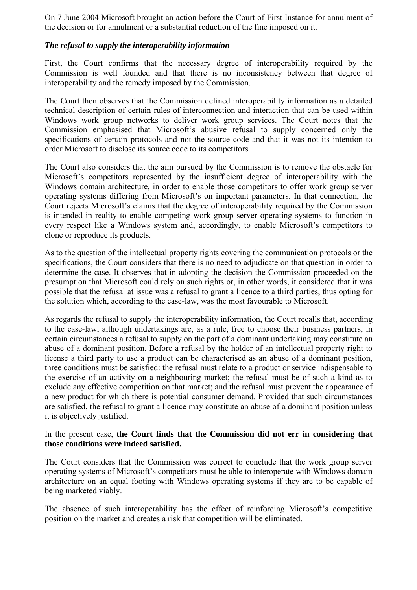On 7 June 2004 Microsoft brought an action before the Court of First Instance for annulment of the decision or for annulment or a substantial reduction of the fine imposed on it.

## *The refusal to supply the interoperability information*

First, the Court confirms that the necessary degree of interoperability required by the Commission is well founded and that there is no inconsistency between that degree of interoperability and the remedy imposed by the Commission.

The Court then observes that the Commission defined interoperability information as a detailed technical description of certain rules of interconnection and interaction that can be used within Windows work group networks to deliver work group services. The Court notes that the Commission emphasised that Microsoft's abusive refusal to supply concerned only the specifications of certain protocols and not the source code and that it was not its intention to order Microsoft to disclose its source code to its competitors.

The Court also considers that the aim pursued by the Commission is to remove the obstacle for Microsoft's competitors represented by the insufficient degree of interoperability with the Windows domain architecture, in order to enable those competitors to offer work group server operating systems differing from Microsoft's on important parameters. In that connection, the Court rejects Microsoft's claims that the degree of interoperability required by the Commission is intended in reality to enable competing work group server operating systems to function in every respect like a Windows system and, accordingly, to enable Microsoft's competitors to clone or reproduce its products.

As to the question of the intellectual property rights covering the communication protocols or the specifications, the Court considers that there is no need to adjudicate on that question in order to determine the case. It observes that in adopting the decision the Commission proceeded on the presumption that Microsoft could rely on such rights or, in other words, it considered that it was possible that the refusal at issue was a refusal to grant a licence to a third parties, thus opting for the solution which, according to the case-law, was the most favourable to Microsoft.

As regards the refusal to supply the interoperability information, the Court recalls that, according to the case-law, although undertakings are, as a rule, free to choose their business partners, in certain circumstances a refusal to supply on the part of a dominant undertaking may constitute an abuse of a dominant position. Before a refusal by the holder of an intellectual property right to license a third party to use a product can be characterised as an abuse of a dominant position, three conditions must be satisfied: the refusal must relate to a product or service indispensable to the exercise of an activity on a neighbouring market; the refusal must be of such a kind as to exclude any effective competition on that market; and the refusal must prevent the appearance of a new product for which there is potential consumer demand. Provided that such circumstances are satisfied, the refusal to grant a licence may constitute an abuse of a dominant position unless it is objectively justified.

### In the present case, **the Court finds that the Commission did not err in considering that those conditions were indeed satisfied.**

The Court considers that the Commission was correct to conclude that the work group server operating systems of Microsoft's competitors must be able to interoperate with Windows domain architecture on an equal footing with Windows operating systems if they are to be capable of being marketed viably.

The absence of such interoperability has the effect of reinforcing Microsoft's competitive position on the market and creates a risk that competition will be eliminated.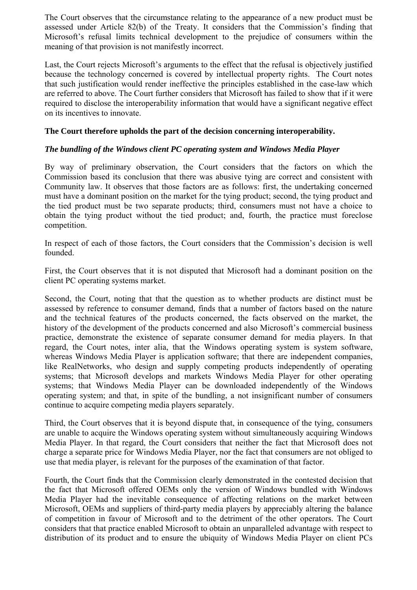The Court observes that the circumstance relating to the appearance of a new product must be assessed under Article 82(b) of the Treaty. It considers that the Commission's finding that Microsoft's refusal limits technical development to the prejudice of consumers within the meaning of that provision is not manifestly incorrect.

Last, the Court rejects Microsoft's arguments to the effect that the refusal is objectively justified because the technology concerned is covered by intellectual property rights. The Court notes that such justification would render ineffective the principles established in the case-law which are referred to above. The Court further considers that Microsoft has failed to show that if it were required to disclose the interoperability information that would have a significant negative effect on its incentives to innovate.

## **The Court therefore upholds the part of the decision concerning interoperability.**

### *The bundling of the Windows client PC operating system and Windows Media Player*

By way of preliminary observation, the Court considers that the factors on which the Commission based its conclusion that there was abusive tying are correct and consistent with Community law. It observes that those factors are as follows: first, the undertaking concerned must have a dominant position on the market for the tying product; second, the tying product and the tied product must be two separate products; third, consumers must not have a choice to obtain the tying product without the tied product; and, fourth, the practice must foreclose competition.

In respect of each of those factors, the Court considers that the Commission's decision is well founded.

First, the Court observes that it is not disputed that Microsoft had a dominant position on the client PC operating systems market.

Second, the Court, noting that that the question as to whether products are distinct must be assessed by reference to consumer demand, finds that a number of factors based on the nature and the technical features of the products concerned, the facts observed on the market, the history of the development of the products concerned and also Microsoft's commercial business practice, demonstrate the existence of separate consumer demand for media players. In that regard, the Court notes, inter alia, that the Windows operating system is system software, whereas Windows Media Player is application software; that there are independent companies, like RealNetworks, who design and supply competing products independently of operating systems; that Microsoft develops and markets Windows Media Player for other operating systems; that Windows Media Player can be downloaded independently of the Windows operating system; and that, in spite of the bundling, a not insignificant number of consumers continue to acquire competing media players separately.

Third, the Court observes that it is beyond dispute that, in consequence of the tying, consumers are unable to acquire the Windows operating system without simultaneously acquiring Windows Media Player. In that regard, the Court considers that neither the fact that Microsoft does not charge a separate price for Windows Media Player, nor the fact that consumers are not obliged to use that media player, is relevant for the purposes of the examination of that factor.

Fourth, the Court finds that the Commission clearly demonstrated in the contested decision that the fact that Microsoft offered OEMs only the version of Windows bundled with Windows Media Player had the inevitable consequence of affecting relations on the market between Microsoft, OEMs and suppliers of third-party media players by appreciably altering the balance of competition in favour of Microsoft and to the detriment of the other operators. The Court considers that that practice enabled Microsoft to obtain an unparalleled advantage with respect to distribution of its product and to ensure the ubiquity of Windows Media Player on client PCs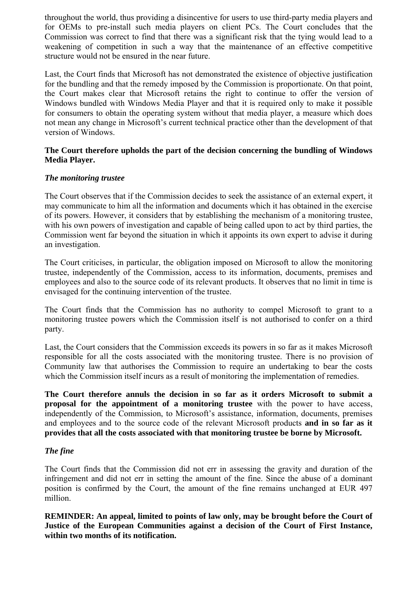throughout the world, thus providing a disincentive for users to use third-party media players and for OEMs to pre-install such media players on client PCs. The Court concludes that the Commission was correct to find that there was a significant risk that the tying would lead to a weakening of competition in such a way that the maintenance of an effective competitive structure would not be ensured in the near future.

Last, the Court finds that Microsoft has not demonstrated the existence of objective justification for the bundling and that the remedy imposed by the Commission is proportionate. On that point, the Court makes clear that Microsoft retains the right to continue to offer the version of Windows bundled with Windows Media Player and that it is required only to make it possible for consumers to obtain the operating system without that media player, a measure which does not mean any change in Microsoft's current technical practice other than the development of that version of Windows.

### **The Court therefore upholds the part of the decision concerning the bundling of Windows Media Player.**

### *The monitoring trustee*

The Court observes that if the Commission decides to seek the assistance of an external expert, it may communicate to him all the information and documents which it has obtained in the exercise of its powers. However, it considers that by establishing the mechanism of a monitoring trustee, with his own powers of investigation and capable of being called upon to act by third parties, the Commission went far beyond the situation in which it appoints its own expert to advise it during an investigation.

The Court criticises, in particular, the obligation imposed on Microsoft to allow the monitoring trustee, independently of the Commission, access to its information, documents, premises and employees and also to the source code of its relevant products. It observes that no limit in time is envisaged for the continuing intervention of the trustee.

The Court finds that the Commission has no authority to compel Microsoft to grant to a monitoring trustee powers which the Commission itself is not authorised to confer on a third party.

Last, the Court considers that the Commission exceeds its powers in so far as it makes Microsoft responsible for all the costs associated with the monitoring trustee. There is no provision of Community law that authorises the Commission to require an undertaking to bear the costs which the Commission itself incurs as a result of monitoring the implementation of remedies.

**The Court therefore annuls the decision in so far as it orders Microsoft to submit a proposal for the appointment of a monitoring trustee** with the power to have access, independently of the Commission, to Microsoft's assistance, information, documents, premises and employees and to the source code of the relevant Microsoft products **and in so far as it provides that all the costs associated with that monitoring trustee be borne by Microsoft.**

## *The fine*

The Court finds that the Commission did not err in assessing the gravity and duration of the infringement and did not err in setting the amount of the fine. Since the abuse of a dominant position is confirmed by the Court, the amount of the fine remains unchanged at EUR 497 million.

**REMINDER: An appeal, limited to points of law only, may be brought before the Court of Justice of the European Communities against a decision of the Court of First Instance, within two months of its notification.**